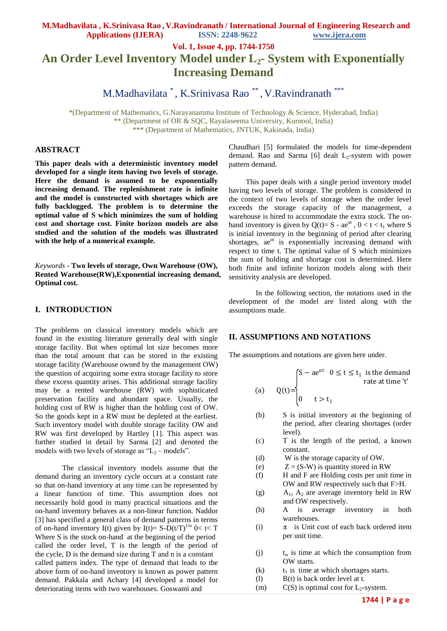**Vol. 1, Issue 4, pp. 1744-1750**

# **An Order Level Inventory Model under L2- System with Exponentially Increasing Demand**

M.Madhavilata \* , K.Srinivasa Rao \*\* , V.Ravindranath \*\*\*

\*(Department of Mathematics, G.Narayanamma Institute of Technology & Science, Hyderabad, India) \*\* (Department of OR & SQC, Rayalaseema University, Kurnool, India) \*\*\* (Department of Mathematics, JNTUK, Kakinada, India)

# **ABSTRACT**

**This paper deals with a deterministic inventory model developed for a single item having two levels of storage. Here the demand is assumed to be exponentially increasing demand. The replenishment rate is infinite and the model is constructed with shortages which are fully backlogged. The problem is to determine the optimal value of S which minimizes the sum of holding cost and shortage cost. Finite horizon models are also studied and the solution of the models was illustrated with the help of a numerical example.**

*Keywords* **- Two levels of storage, Own Warehouse (OW), Rented Warehouse(RW),Exponential increasing demand, Optimal cost.**

### **I. INTRODUCTION**

The problems on classical inventory models which are found in the existing literature generally deal with single storage facility. But when optimal lot size becomes more than the total amount that can be stored in the existing storage facility (Warehouse owned by the management OW) the question of acquiring some extra storage facility to store these excess quantity arises. This additional storage facility may be a rented warehouse (RW) with sophisticated preservation facility and abundant space. Usually, the holding cost of RW is higher than the holding cost of OW. So the goods kept in a RW must be depleted at the earliest. Such inventory model with double storage facility OW and RW was first developed by Hartley [1]. This aspect was further studied in detail by Sarma [2] and denoted the models with two levels of storage as " $L_2$  – models".

The classical inventory models assume that the demand during an inventory cycle occurs at a constant rate so that on-hand inventory at any time can be represented by a linear function of time. This assumption does not necessarily hold good in many practical situations and the on-hand inventory behaves as a non-linear function. Naddor [3] has specified a general class of demand patterns in terms of on-hand inventory I(t) given by I(t)=  $S-D(t/T)^{1/n}$  0< t< T Where S is the stock on-hand at the beginning of the period called the order level, T is the length of the period of the cycle, D is the demand size during T and n is a constant called pattern index. The type of demand that leads to the above form of on-hand inventory is known as power pattern demand. Pakkala and Achary [4] developed a model for deteriorating items with two warehouses. Goswami and

Chaudhari [5] formulated the models for time-dependent demand. Rao and Sarma [6] dealt  $L_2$ -system with power pattern demand.

 This paper deals with a single period inventory model having two levels of storage. The problem is considered in the context of two levels of storage when the order level exceeds the storage capacity of the management, a warehouse is hired to accommodate the extra stock. The onhand inventory is given by Q(t)= S -  $ae^{at}$ ,  $0 < t < t_1$  where S is initial inventory in the beginning of period after clearing shortages,  $ae^{at}$  is exponentially increasing demand with respect to time t. The optimal value of S which minimizes the sum of holding and shortage cost is determined. Here both finite and infinite horizon models along with their sensitivity analysis are developed.

In the following section, the notations used in the development of the model are listed along with the assumptions made.

# **II. ASSUMPTIONS AND NOTATIONS**

The assumptions and notations are given here under.

(a) 
$$
Q(t) = \begin{cases} S - ae^{\alpha t} & 0 \le t \le t_1 \text{ is the demand} \\ 0 & t > t_1 \end{cases}
$$
 rate at time 't'

- (b) S is initial inventory at the beginning of the period, after clearing shortages (order level).
- (c) T is the length of the period, a known constant.
- (d) W is the storage capacity of OW.
- (e)  $Z = (S-W)$  is quantity stored in RW
- (f) H and F are Holding costs per unit time in OW and RW respectively such that F>H.
- (g)  $A_1$ ,  $A_2$  are average inventory held in RW and OW respectively.
- (h) A is average inventory in both warehouses.
- (i)  $\pi$  is Unit cost of each back ordered item per unit time.
- (j)  $t_w$  is time at which the consumption from OW starts.
- (k)  $t_1$  is time at which shortages starts.
- (l) B(t) is back order level at t.
- (m)  $C(S)$  is optimal cost for  $L_2$ -system.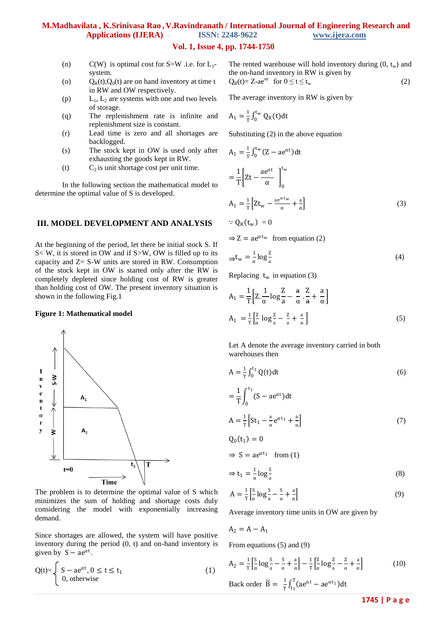# **Vol. 1, Issue 4, pp. 1744-1750**

- (n) C(W) is optimal cost for  $S=W$  .i.e. for  $L_1$ system.
- (o)  $Q_R(t), Q_0(t)$  are on hand inventory at time t in RW and OW respectively.
- (p)  $L_1$ ,  $L_2$  are systems with one and two levels of storage.
- (q) The replenishment rate is infinite and replenishment size is constant.
- (r) Lead time is zero and all shortages are backlogged.
- (s) The stock kept in OW is used only after exhausting the goods kept in RW.
- (t)  $C_2$  is unit shortage cost per unit time.

In the following section the mathematical model to determine the optimal value of S is developed.

# **III. MODEL DEVELOPMENT AND ANALYSIS**

At the beginning of the period, let there be initial stock S. If S< W, it is stored in OW and if S>W, OW is filled up to its capacity and Z= S-W units are stored in RW. Consumption of the stock kept in OW is started only after the RW is completely depleted since holding cost of RW is greater than holding cost of OW. The present inventory situation is shown in the following Fig.1

#### **Figure 1: Mathematical model**



The problem is to determine the optimal value of S which minimizes the sum of holding and shortage costs duly considering the model with exponentially increasing demand.

Since shortages are allowed, the system will have positive inventory during the period (0, t) and on-hand inventory is given by  $S - ae^{\alpha t}$ .

$$
Q(t)=\begin{cases} S - ae^{\alpha t}, 0 \le t \le t_1 \\ 0, \text{ otherwise} \end{cases}
$$
 (1)

The rented warehouse will hold inventory during  $(0, t_w)$  and the on-hand inventory in RW is given by  $Q_R(t) = Z - a e^{\alpha t}$  for  $0 \le t \le t_w$  (2)

The average inventory in RW is given by

$$
A_1 = \frac{1}{T} \int_0^{t_W} Q_R(t) dt
$$

Substituting (2) in the above equation

$$
A_1 = \frac{1}{T} \int_0^{t_w} (Z - ae^{\alpha t}) dt
$$
  
= 
$$
\frac{1}{T} \left[ Zt - \frac{ae^{\alpha t}}{\alpha} \right]_0^{t_w}
$$
  

$$
A_1 = \frac{1}{T} \left[ Zt_w - \frac{ae^{\alpha t_w}}{\alpha} + \frac{a}{\alpha} \right]
$$
  

$$
\therefore Q_R(t_w) = 0
$$
 (3)

 $\Rightarrow$  Z = ae<sup> $\alpha$ t</sup><sup>w</sup> from equation (2)

$$
\Rightarrow t_{w} = \frac{1}{\alpha} \log \frac{z}{a}
$$
 (4)

Replacing  $t_w$  in equation (3)

$$
A_1 = \frac{1}{T} \left[ Z \cdot \frac{1}{\alpha} \log \frac{Z}{a} - \frac{a}{\alpha} \cdot \frac{Z}{a} + \frac{a}{\alpha} \right]
$$
  

$$
A_1 = \frac{1}{T} \left[ \frac{Z}{\alpha} \log \frac{Z}{a} - \frac{Z}{a} + \frac{a}{\alpha} \right]
$$
 (5)

Let A denote the average inventory carried in both warehouses then

$$
A = \frac{1}{T} \int_0^{t_1} Q(t) dt
$$
 (6)

$$
= \frac{1}{T} \int_0^{t_1} (S - ae^{\alpha t}) dt
$$
  

$$
A = \frac{1}{T} \left[ St_1 - \frac{a}{\alpha} e^{\alpha t_1} + \frac{a}{\alpha} \right]
$$
 (7)

$$
Q_0(t_1)=0
$$

 $\Rightarrow$  S = ae<sup> $\alpha t_1$ </sup> from (1)

$$
\Rightarrow t_1 = \frac{1}{\alpha} \log \frac{S}{a} \tag{8}
$$

$$
A = \frac{1}{T} \left[ \frac{S}{\alpha} \log \frac{S}{a} - \frac{S}{\alpha} + \frac{a}{\alpha} \right]
$$
(9)

Average inventory time units in OW are given by

$$
A_2 = A - A_1
$$

From equations (5) and (9)

$$
A_2 = \frac{1}{T} \left[ \frac{S}{\alpha} \log \frac{S}{a} - \frac{S}{\alpha} + \frac{a}{\alpha} \right] - \frac{1}{T} \left[ \frac{Z}{\alpha} \log \frac{Z}{a} - \frac{Z}{\alpha} + \frac{a}{\alpha} \right]
$$
(10)

Back order 
$$
\overline{B} = \frac{1}{T} \int_{t_1}^{T} (ae^{\alpha t} - ae^{\alpha t_1}) dt
$$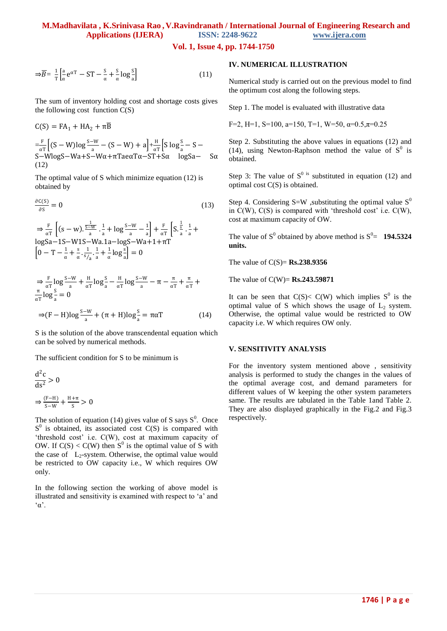**Vol. 1, Issue 4, pp. 1744-1750**

$$
\Rightarrow \overline{B} = \frac{1}{T} \left[ \frac{a}{\alpha} e^{\alpha T} - ST - \frac{S}{\alpha} + \frac{S}{\alpha} \log \frac{S}{a} \right]
$$
(11)

The sum of inventory holding cost and shortage costs gives the following cost function C(S)

$$
C(S) = FA_1 + HA_2 + \pi \overline{B}
$$
  
= $\frac{F}{\alpha T} \Big[ (S - W) \log \frac{S - W}{a} - (S - W) + a \Big] + \frac{H}{\alpha T} \Big[ S \log \frac{S}{a} - S - S - W \log S - Wa + S - W\alpha + \pi \text{T} a e \alpha T \alpha - ST + S\alpha \log S a - S\alpha$   
(12)

The optimal value of S which minimize equation (12) is obtained by

$$
\frac{\partial C(S)}{\partial S} = 0 \tag{13}
$$

 $\Rightarrow \frac{F}{a}$  $rac{\text{F}}{\alpha \text{T}}\left[ (\text{s} - \text{w}) \cdot \frac{\frac{1}{\text{s} - \text{w}}}{\text{a}} \right]$  $\frac{1}{a}$ .  $\frac{1}{a}$  $\frac{1}{a} + \log \frac{s - w}{a} - \frac{1}{a}$  $\frac{1}{a}$  +  $\frac{F}{\alpha'}$  $rac{F}{\alpha T}$   $S.\frac{\frac{1}{s}}{a}$  $rac{\frac{1}{s}}{a} \cdot \frac{1}{a}$  $\frac{1}{a}$  + logSa−1S−W1S−Wa.1a−logS−Wa+1+πT  $\left[0-T-\frac{1}{\alpha}\right]$  $\frac{1}{\alpha} + \frac{s}{\alpha}$  $\frac{s}{\alpha} \cdot \frac{1}{s}$  $\frac{1}{s/2} \cdot \frac{1}{a}$  $\frac{1}{a} + \frac{1}{\alpha}$  $\frac{1}{\alpha}$ log $\frac{s}{a}$ ] = 0

$$
\Rightarrow \frac{\mathcal{F}}{\alpha \mathcal{T}} \log \frac{\mathcal{S}-\mathcal{W}}{\mathcal{S}-\mathcal{S}} + \frac{\mathcal{H}}{\alpha \mathcal{T}} \log \frac{\mathcal{S}}{\mathcal{S}} - \frac{\mathcal{H}}{\alpha \mathcal{T}} \log \frac{\mathcal{S}-\mathcal{W}}{\mathcal{S}-\mathcal{S}} - \pi - \frac{\pi}{\alpha \mathcal{T}} + \frac{\pi}{\alpha \mathcal{T}} + \frac{\pi}{\alpha \mathcal{T}}
$$

$$
\Rightarrow (\mathcal{F} - \mathcal{H}) \log \frac{\mathcal{S}-\mathcal{W}}{\mathcal{S}-\mathcal{S}} + (\pi + \mathcal{H}) \log \frac{\mathcal{S}}{\mathcal{S}} = \pi \alpha \mathcal{T}
$$
(14)

S is the solution of the above transcendental equation which can be solved by numerical methods.

The sufficient condition for S to be minimum is

$$
\frac{d^2c}{ds^2} > 0
$$
  

$$
\Rightarrow \frac{(F-H)}{S-W} + \frac{H+\pi}{S} > 0
$$

The solution of equation (14) gives value of S says  $S^0$ . Once  $S<sup>0</sup>$  is obtained, its associated cost C(S) is compared with 'threshold cost' i.e. C(W), cost at maximum capacity of OW. If  $C(S) < C(W)$  then S<sup>0</sup> is the optimal value of S with the case of  $L_2$ -system. Otherwise, the optimal value would be restricted to OW capacity i.e., W which requires OW only.

In the following section the working of above model is illustrated and sensitivity is examined with respect to "a" and  $^{\circ}$ α'.

# **IV. NUMERICAL ILLUSTRATION**

Numerical study is carried out on the previous model to find the optimum cost along the following steps.

Step 1. The model is evaluated with illustrative data

F=2, H=1, S=100, a=150, T=1, W=50,  $\alpha$ =0.5, $\pi$ =0.25

Step 2. Substituting the above values in equations (12) and (14), using Newton-Raphson method the value of  $S^0$  is obtained.

 optimal cost C(S) is obtained. Step 3: The value of  $S^{0}$  is substituted in equation (12) and

Step 4. Considering S=W , substituting the optimal value  $S^0$ in  $C(W)$ ,  $C(S)$  is compared with 'threshold cost' i.e.  $C(W)$ , cost at maximum capacity of OW.

The value of  $S^0$  obtained by above method is  $S^0$  = **194.5324 units.**

The value of C(S)= **Rs.238.9356**

The value of C(W)= **Rs.243.59871**

It can be seen that  $C(S) < C(W)$  which implies  $S^0$  is the optimal value of S which shows the usage of  $L_2$  system. Otherwise, the optimal value would be restricted to OW capacity i.e. W which requires OW only.

### **V. SENSITIVITY ANALYSIS**

For the inventory system mentioned above , sensitivity analysis is performed to study the changes in the values of the optimal average cost, and demand parameters for different values of W keeping the other system parameters same. The results are tabulated in the Table 1and Table 2. They are also displayed graphically in the Fig.2 and Fig.3 respectively.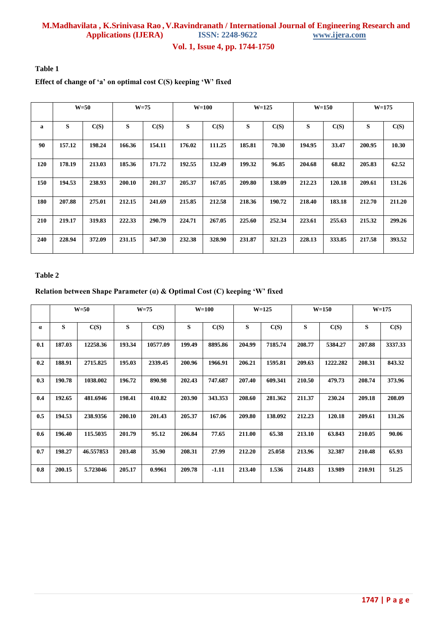# **M.Madhavilata , K.Srinivasa Rao , V.Ravindranath / International Journal of Engineering Research and Applications (IJERA)**

**Vol. 1, Issue 4, pp. 1744-1750**

**Table 1**

# **Effect of change of 'a' on optimal cost C(S) keeping 'W' fixed**

|     | $W=50$ |        | $W=75$ |        | $W=100$ |        | $W=125$ |        | $W=150$ |        | $W = 175$ |        |
|-----|--------|--------|--------|--------|---------|--------|---------|--------|---------|--------|-----------|--------|
| a   | S      | C(S)   | S      | C(S)   | S       | C(S)   | S       | C(S)   | S       | C(S)   | S         | C(S)   |
| 90  | 157.12 | 198.24 | 166.36 | 154.11 | 176.02  | 111.25 | 185.81  | 70.30  | 194.95  | 33.47  | 200.95    | 10.30  |
| 120 | 178.19 | 213.03 | 185.36 | 171.72 | 192.55  | 132.49 | 199.32  | 96.85  | 204.68  | 68.82  | 205.83    | 62.52  |
| 150 | 194.53 | 238.93 | 200.10 | 201.37 | 205.37  | 167.05 | 209.80  | 138.09 | 212.23  | 120.18 | 209.61    | 131.26 |
| 180 | 207.88 | 275.01 | 212.15 | 241.69 | 215.85  | 212.58 | 218.36  | 190.72 | 218.40  | 183.18 | 212.70    | 211.20 |
| 210 | 219.17 | 319.83 | 222.33 | 290.79 | 224.71  | 267.05 | 225.60  | 252.34 | 223.61  | 255.63 | 215.32    | 299.26 |
| 240 | 228.94 | 372.09 | 231.15 | 347.30 | 232.38  | 328.90 | 231.87  | 321.23 | 228.13  | 333.85 | 217.58    | 393.52 |

# **Table 2**

# **Relation between Shape Parameter (α) & Optimal Cost (C) keeping 'W' fixed**

|          | $W=50$ |           | $W=75$ |          | <b>W=100</b> |         | $W = 125$ |         | $W=150$ |          | $W = 175$ |         |
|----------|--------|-----------|--------|----------|--------------|---------|-----------|---------|---------|----------|-----------|---------|
| $\alpha$ | S      | C(S)      | S      | C(S)     | S            | C(S)    | S         | C(S)    | S       | C(S)     | S         | C(S)    |
| 0.1      | 187.03 | 12258.36  | 193.34 | 10577.09 | 199.49       | 8895.86 | 204.99    | 7185.74 | 208.77  | 5384.27  | 207.88    | 3337.33 |
| 0.2      | 188.91 | 2715.825  | 195.03 | 2339.45  | 200.96       | 1966.91 | 206.21    | 1595.81 | 209.63  | 1222.282 | 208.31    | 843.32  |
| 0.3      | 190.78 | 1038.002  | 196.72 | 890.98   | 202.43       | 747.687 | 207.40    | 609.341 | 210.50  | 479.73   | 208.74    | 373.96  |
| 0.4      | 192.65 | 481.6946  | 198.41 | 410.82   | 203.90       | 343.353 | 208.60    | 281.362 | 211.37  | 230.24   | 209.18    | 208.09  |
| 0.5      | 194.53 | 238.9356  | 200.10 | 201.43   | 205.37       | 167.06  | 209.80    | 138.092 | 212.23  | 120.18   | 209.61    | 131.26  |
| 0.6      | 196.40 | 115.5035  | 201.79 | 95.12    | 206.84       | 77.65   | 211.00    | 65.38   | 213.10  | 63.843   | 210.05    | 90.06   |
| 0.7      | 198.27 | 46.557853 | 203.48 | 35.90    | 208.31       | 27.99   | 212.20    | 25.058  | 213.96  | 32.387   | 210.48    | 65.93   |
| 0.8      | 200.15 | 5.723046  | 205.17 | 0.9961   | 209.78       | $-1.11$ | 213.40    | 1.536   | 214.83  | 13.989   | 210.91    | 51.25   |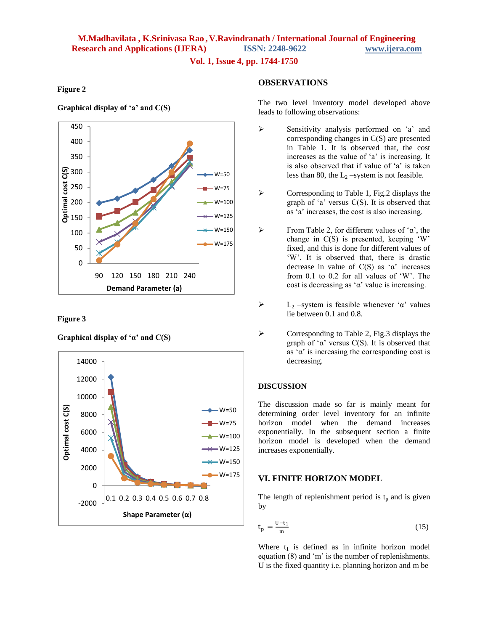**Vol. 1, Issue 4, pp. 1744-1750**

## **Figure 2**

### **Graphical display of 'a' and C(S)**



#### **Figure 3**





# **OBSERVATIONS**

The two level inventory model developed above leads to following observations:

- $\triangleright$  Sensitivity analysis performed on 'a' and corresponding changes in C(S) are presented in Table 1. It is observed that, the cost increases as the value of 'a' is increasing. It is also observed that if value of 'a' is taken less than 80, the  $L_2$  –system is not feasible.
- $\triangleright$  Corresponding to Table 1, Fig.2 displays the graph of  $a'$  versus  $C(S)$ . It is observed that as "a" increases, the cost is also increasing.
- From Table 2, for different values of ' $\alpha$ ', the change in C(S) is presented, keeping "W" fixed, and this is done for different values of "W". It is observed that, there is drastic decrease in value of  $C(S)$  as ' $\alpha$ ' increases from 0.1 to 0.2 for all values of "W". The cost is decreasing as ' $\alpha$ ' value is increasing.
- L<sub>2</sub> –system is feasible whenever 'α' values lie between 0.1 and 0.8.
- $\triangleright$  Corresponding to Table 2, Fig. 3 displays the graph of ' $\alpha$ ' versus C(S). It is observed that as  $\alpha'$  is increasing the corresponding cost is decreasing.

# **DISCUSSION**

The discussion made so far is mainly meant for determining order level inventory for an infinite horizon model when the demand increases exponentially. In the subsequent section a finite horizon model is developed when the demand increases exponentially.

# **VI. FINITE HORIZON MODEL**

The length of replenishment period is  $t_p$  and is given by

$$
t_p = \frac{U - t_1}{m} \tag{15}
$$

Where  $t_1$  is defined as in infinite horizon model equation (8) and 'm' is the number of replenishments. U is the fixed quantity i.e. planning horizon and m be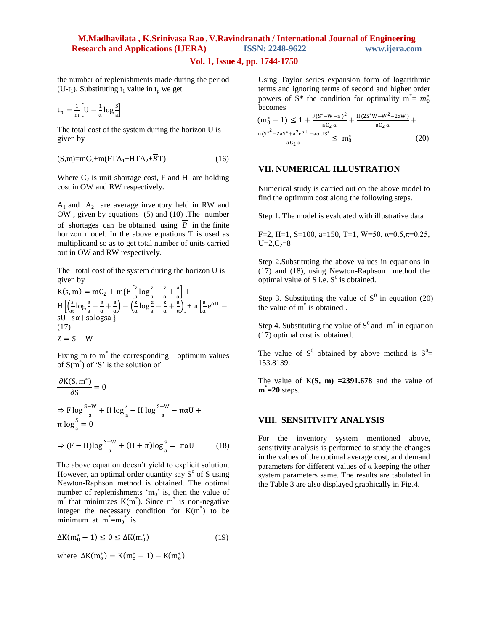# **Vol. 1, Issue 4, pp. 1744-1750**

the number of replenishments made during the period (U-t<sub>1</sub>). Substituting t<sub>1</sub> value in t<sub>n</sub> we get

$$
t_p = \frac{1}{m} \Big[ U - \frac{1}{\alpha} \log \frac{S}{a} \Big]
$$

The total cost of the system during the horizon U is given by

$$
(S,m)=mC_2+m(FTA_1+HTA_2+\overline{B}T) \tag{16}
$$

Where  $C_2$  is unit shortage cost, F and H are holding cost in OW and RW respectively.

 $A_1$  and  $A_2$  are average inventory held in RW and OW , given by equations (5) and (10) .The number of shortages can be obtained using  $\overline{B}$  in the finite horizon model. In the above equations T is used as multiplicand so as to get total number of units carried out in OW and RW respectively.

The total cost of the system during the horizon U is given by

$$
K(s, m) = mC_2 + m\{F\left[\frac{z}{a}\log\frac{z}{a} - \frac{z}{\alpha} + \frac{a}{\alpha}\right] + H\left[\left(\frac{s}{\alpha}\log\frac{z}{a} - \frac{z}{\alpha} + \frac{a}{\alpha}\right) - \left(\frac{z}{\alpha}\log\frac{z}{a} - \frac{z}{\alpha} + \frac{a}{\alpha}\right)\right] + \pi\left[\frac{a}{\alpha}e^{\alpha U} - sU - s\alpha + sdc\right]
$$
  
(17)  
Z = S - W

Fixing m to m<sup>\*</sup> the corresponding optimum values of  $S(m^*)$  of 'S' is the solution of

$$
\frac{\partial K(S, m^*)}{\partial S} = 0
$$
  
\n
$$
\Rightarrow F \log \frac{S - W}{a} + H \log \frac{s}{a} - H \log \frac{S - W}{a} - \pi \alpha U +
$$
  
\n
$$
\pi \log \frac{s}{a} = 0
$$
  
\n
$$
\Rightarrow (F - H) \log \frac{S - W}{a} + (H + \pi) \log \frac{s}{a} = \pi \alpha U
$$
 (18)

The above equation doesn't yield to explicit solution. However, an optimal order quantity say  $S^{\circ}$  of S using Newton-Raphson method is obtained. The optimal number of replenishments ' $m_0$ ' is, then the value of  $m^*$  that minimizes  $K(m^*)$ . Since  $m^*$  is non-negative integer the necessary condition for  $K(m^*)$  to be minimum at  $m^* = m_0^*$  is

$$
\Delta K(m_0^*-1) \le 0 \le \Delta K(m_0^*)
$$
\n(19)

where  $\Delta K(m_0^*) = K(m_0^* + 1) - K(m_0^*)$ 

Using Taylor series expansion form of logarithmic terms and ignoring terms of second and higher order powers of  $S^*$  the condition for optimality  $m^* = m_0^*$ becomes

$$
(m_0^* - 1) \le 1 + \frac{F(S^* - W - a)^2}{aC_2 \alpha} + \frac{H(2S^*W - W^2 - 2aW)}{aC_2 \alpha} + \frac{n(S^{*2} - 2aS^* + a^2 e^{\alpha U} - a\alpha US^*)}{aC_2 \alpha} \le m_0^*
$$
(20)

### **VII. NUMERICAL ILLUSTRATION**

Numerical study is carried out on the above model to find the optimum cost along the following steps.

Step 1. The model is evaluated with illustrative data

F=2, H=1, S=100, a=150, T=1, W=50,  $\alpha$ =0.5, $\pi$ =0.25,  $U=2, C_2=8$ 

Step 2.Substituting the above values in equations in (17) and (18), using Newton-Raphson method the optimal value of S i.e.  $S^0$  is obtained.

Step 3. Substituting the value of  $S^0$  in equation (20) the value of m\* is obtained .

Step 4. Substituting the value of  $S^0$  and  $m^*$  in equation (17) optimal cost is obtained.

The value of S<sup>0</sup> obtained by above method is  $S^0$ = 153.8139.

The value of  $K(S, m) = 2391.678$  and the value of **m \* =20** steps.

### **VIII. SENSITIVITY ANALYSIS**

For the inventory system mentioned above, sensitivity analysis is performed to study the changes in the values of the optimal average cost, and demand parameters for different values of  $\alpha$  keeping the other system parameters same. The results are tabulated in the Table 3 are also displayed graphically in Fig.4.